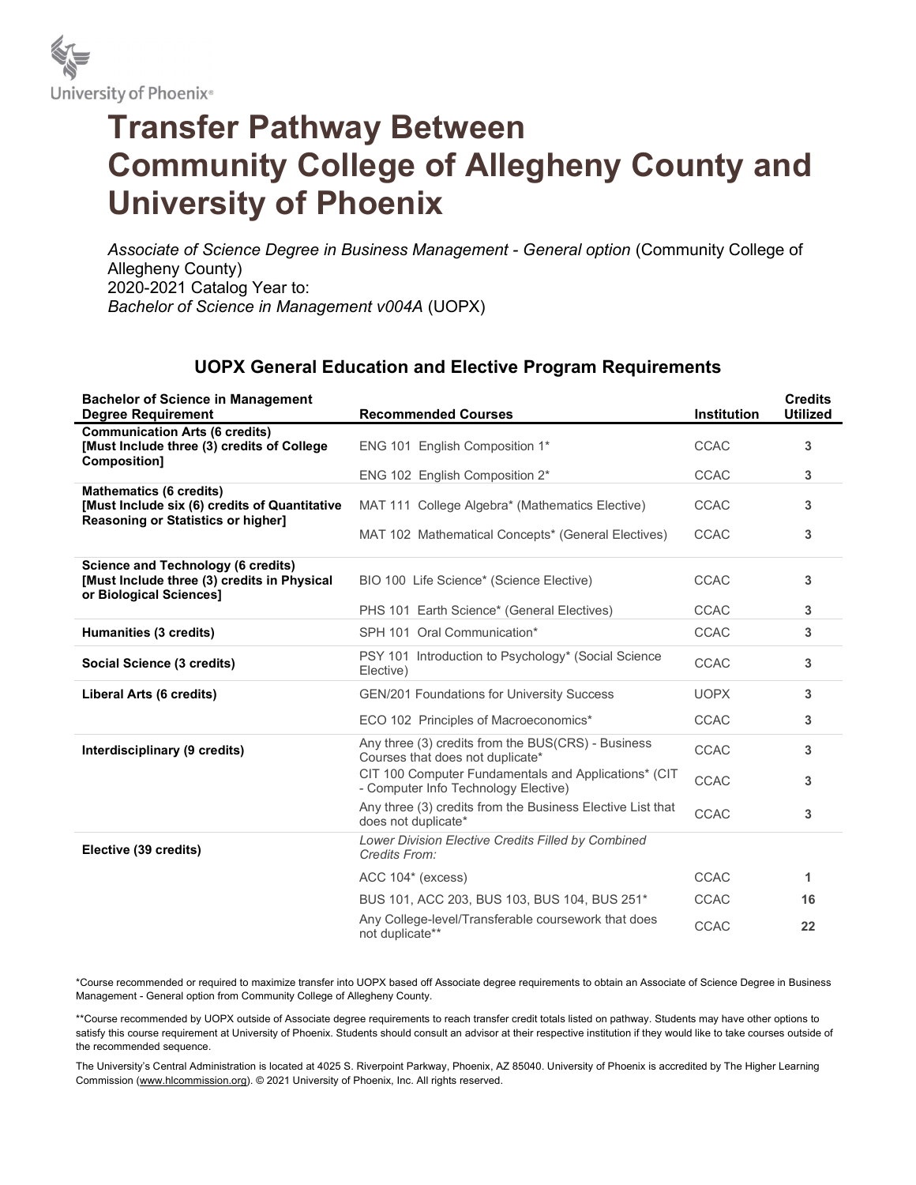

## Transfer Pathway Between Community College of Allegheny County and University of Phoenix

Associate of Science Degree in Business Management - General option (Community College of Allegheny County) 2020-2021 Catalog Year to: Bachelor of Science in Management v004A (UOPX)

## UOPX General Education and Elective Program Requirements

| <b>Bachelor of Science in Management</b><br><b>Degree Requirement</b>                                                 | <b>Recommended Courses</b>                                                                   | <b>Institution</b> | <b>Credits</b><br><b>Utilized</b> |
|-----------------------------------------------------------------------------------------------------------------------|----------------------------------------------------------------------------------------------|--------------------|-----------------------------------|
| <b>Communication Arts (6 credits)</b><br>[Must Include three (3) credits of College<br>Composition]                   | ENG 101 English Composition 1*                                                               | <b>CCAC</b>        | 3                                 |
|                                                                                                                       | ENG 102 English Composition 2*                                                               | <b>CCAC</b>        | 3                                 |
| <b>Mathematics (6 credits)</b><br>[Must Include six (6) credits of Quantitative<br>Reasoning or Statistics or higher] | MAT 111 College Algebra* (Mathematics Elective)                                              | <b>CCAC</b>        | 3                                 |
|                                                                                                                       | MAT 102 Mathematical Concepts* (General Electives)                                           | <b>CCAC</b>        | 3                                 |
| <b>Science and Technology (6 credits)</b><br>[Must Include three (3) credits in Physical<br>or Biological Sciences]   | BIO 100 Life Science* (Science Elective)                                                     | <b>CCAC</b>        | 3                                 |
|                                                                                                                       | PHS 101 Earth Science* (General Electives)                                                   | <b>CCAC</b>        | 3                                 |
| Humanities (3 credits)                                                                                                | SPH 101 Oral Communication*                                                                  | <b>CCAC</b>        | 3                                 |
| Social Science (3 credits)                                                                                            | PSY 101 Introduction to Psychology* (Social Science<br>Elective)                             | CCAC               | 3                                 |
| Liberal Arts (6 credits)                                                                                              | <b>GEN/201 Foundations for University Success</b>                                            | <b>UOPX</b>        | 3                                 |
|                                                                                                                       | ECO 102 Principles of Macroeconomics*                                                        | <b>CCAC</b>        | 3                                 |
| Interdisciplinary (9 credits)                                                                                         | Any three (3) credits from the BUS(CRS) - Business<br>Courses that does not duplicate*       | <b>CCAC</b>        | 3                                 |
|                                                                                                                       | CIT 100 Computer Fundamentals and Applications* (CIT<br>- Computer Info Technology Elective) | <b>CCAC</b>        | 3                                 |
|                                                                                                                       | Any three (3) credits from the Business Elective List that<br>does not duplicate*            | <b>CCAC</b>        | 3                                 |
| Elective (39 credits)                                                                                                 | Lower Division Elective Credits Filled by Combined<br>Credits From:                          |                    |                                   |
|                                                                                                                       | ACC 104* (excess)                                                                            | <b>CCAC</b>        | 1                                 |
|                                                                                                                       | BUS 101, ACC 203, BUS 103, BUS 104, BUS 251*                                                 | <b>CCAC</b>        | 16                                |
|                                                                                                                       | Any College-level/Transferable coursework that does<br>not duplicate**                       | <b>CCAC</b>        | 22                                |

\*Course recommended or required to maximize transfer into UOPX based off Associate degree requirements to obtain an Associate of Science Degree in Business Management - General option from Community College of Allegheny County.

\*\*Course recommended by UOPX outside of Associate degree requirements to reach transfer credit totals listed on pathway. Students may have other options to satisfy this course requirement at University of Phoenix. Students should consult an advisor at their respective institution if they would like to take courses outside of the recommended sequence.

The University's Central Administration is located at 4025 S. Riverpoint Parkway, Phoenix, AZ 85040. University of Phoenix is accredited by The Higher Learning Commission (www.hlcommission.org). © 2021 University of Phoenix, Inc. All rights reserved.